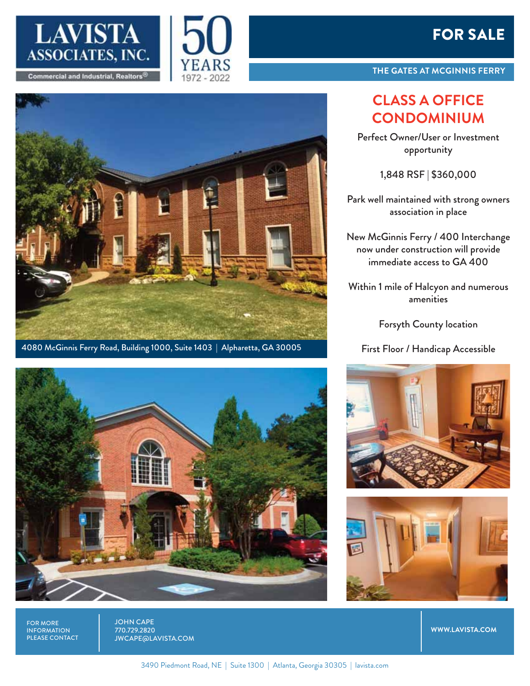





4080 McGinnis Ferry Road, Building 1000, Suite 1403 | Alpharetta, GA 30005



FOR MORE INFORMATION PLEASE CONTACT JOHN CAPE 770.729.2820 JWCAPE@LAVISTA.COM

## FOR SALE

**THE GATES AT MCGINNIS FERRY**

## **CLASS A OFFICE CONDOMINIUM**

Perfect Owner/User or Investment opportunity

1,848 RSF | \$360,000

Park well maintained with strong owners association in place

New McGinnis Ferry / 400 Interchange now under construction will provide immediate access to GA 400

Within 1 mile of Halcyon and numerous amenities

Forsyth County location

First Floor / Handicap Accessible





**WWW.LAVISTA.COM**